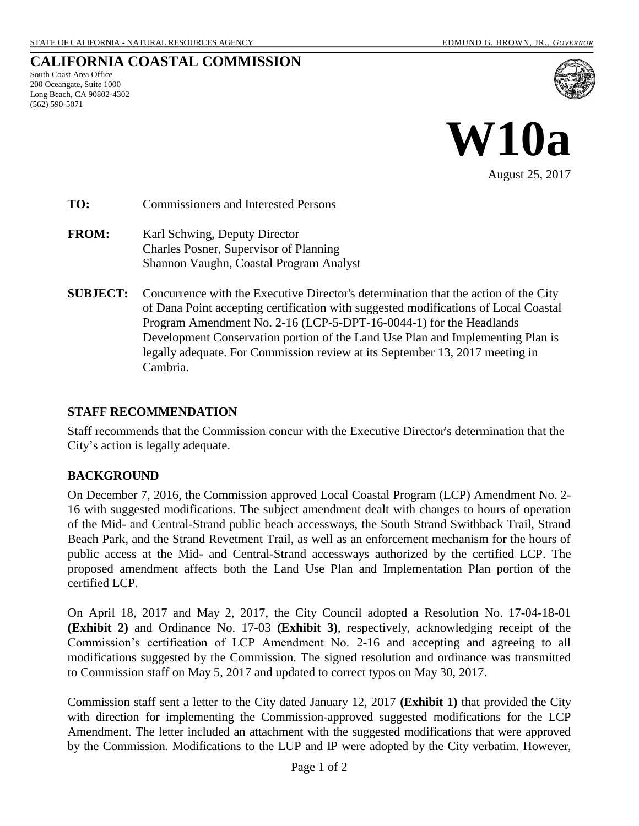## **CALIFORNIA COASTAL COMMISSION**

South Coast Area Office 200 Oceangate, Suite 1000 Long Beach, CA 90802-4302 (562) 590-5071





**TO:** Commissioners and Interested Persons

- **FROM:** Karl Schwing, Deputy Director Charles Posner, Supervisor of Planning Shannon Vaughn, Coastal Program Analyst
- **SUBJECT:** Concurrence with the Executive Director's determination that the action of the City of Dana Point accepting certification with suggested modifications of Local Coastal Program Amendment No. 2-16 (LCP-5-DPT-16-0044-1) for the Headlands Development Conservation portion of the Land Use Plan and Implementing Plan is legally adequate. For Commission review at its September 13, 2017 meeting in Cambria.

## **STAFF RECOMMENDATION**

Staff recommends that the Commission concur with the Executive Director's determination that the City's action is legally adequate.

## **BACKGROUND**

On December 7, 2016, the Commission approved Local Coastal Program (LCP) Amendment No. 2- 16 with suggested modifications. The subject amendment dealt with changes to hours of operation of the Mid- and Central-Strand public beach accessways, the South Strand Swithback Trail, Strand Beach Park, and the Strand Revetment Trail, as well as an enforcement mechanism for the hours of public access at the Mid- and Central-Strand accessways authorized by the certified LCP. The proposed amendment affects both the Land Use Plan and Implementation Plan portion of the certified LCP.

On April 18, 2017 and May 2, 2017, the City Council adopted a Resolution No. 17-04-18-01 **[\(Exhibit 2\)](https://documents.coastal.ca.gov/reports/2017/9/W10a/W10a-9-2017-exhibits.pdf)** and Ordinance No. 17-03 **[\(Exhibit 3\)](https://documents.coastal.ca.gov/reports/2017/9/W10a/W10a-9-2017-exhibits.pdf)**, respectively, acknowledging receipt of the Commission's certification of LCP Amendment No. 2-16 and accepting and agreeing to all modifications suggested by the Commission. The signed resolution and ordinance was transmitted to Commission staff on May 5, 2017 and updated to correct typos on May 30, 2017.

Commission staff sent a letter to the City dated January 12, 2017 **[\(Exhibit 1\)](https://documents.coastal.ca.gov/reports/2017/9/W10a/W10a-9-2017-exhibits.pdf)** that provided the City with direction for implementing the Commission-approved suggested modifications for the LCP Amendment. The letter included an attachment with the suggested modifications that were approved by the Commission. Modifications to the LUP and IP were adopted by the City verbatim. However,